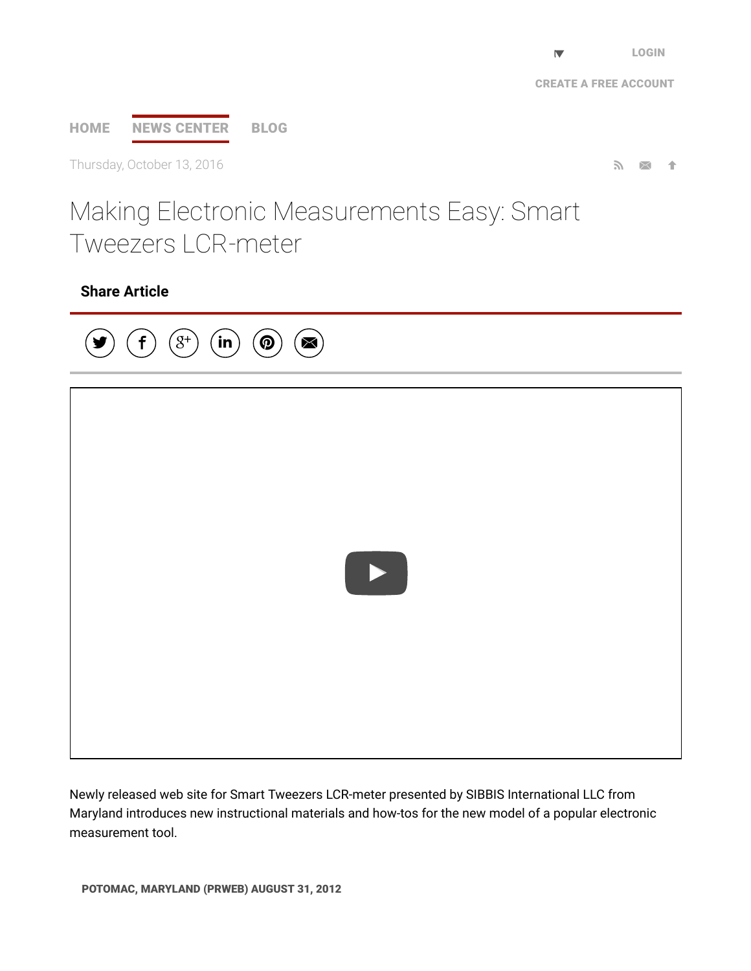$\nabla$ 

# [HOME](http://www.prweb.com/) NEWS [CENTER](http://www.prweb.com/recentnews/) [BLOG](http://www.cision.com/us/blog/)

Thursday, October 13, 2016  $\blacksquare$ 

# Making Electronic Measurements Easy: Smart Tweezers LCR-meter

## Share Article



Newly released web site for Smart Tweezers LCR-meter presented by SIBBIS International LLC from Maryland introduces new instructional materials and how-tos for the new model of a popular electronic measurement tool.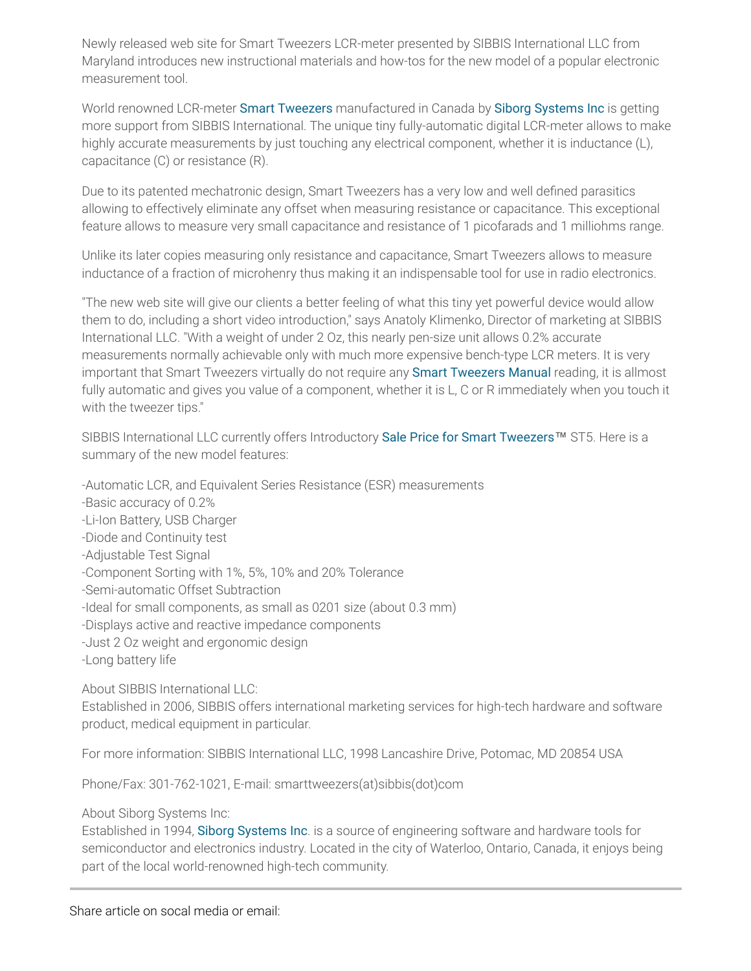Newly released web site for Smart Tweezers LCR-meter presented by SIBBIS International LLC from Maryland introduces new instructional materials and how-tos for the new model of a popular electronic measurement tool.

World renowned LCR-meter Smart [Tweezers](http://www.prweb.net/Redirect.aspx?id=aHR0cDovL3NtYXJ0dHdlZXplcnMudXM=) manufactured in Canada by Siborg [Systems](http://www.prweb.net/Redirect.aspx?id=aHR0cDovL3NtYXJ0dHdlZXplcnMuY2E=) Inc is getting more support from SIBBIS International. The unique tiny fully-automatic digital LCR-meter allows to make highly accurate measurements by just touching any electrical component, whether it is inductance (L), capacitance (C) or resistance (R).

Due to its patented mechatronic design, Smart Tweezers has a very low and well defined parasitics allowing to effectively eliminate any offset when measuring resistance or capacitance. This exceptional feature allows to measure very small capacitance and resistance of 1 picofarads and 1 milliohms range.

Unlike its later copies measuring only resistance and capacitance, Smart Tweezers allows to measure inductance of a fraction of microhenry thus making it an indispensable tool for use in radio electronics.

"The new web site will give our clients a better feeling of what this tiny yet powerful device would allow them to do, including a short video introduction," says Anatoly Klimenko, Director of marketing at SIBBIS International LLC. "With a weight of under 2 Oz, this nearly pen-size unit allows 0.2% accurate measurements normally achievable only with much more expensive bench-type LCR meters. It is very important that Smart [Tweezers](http://www.prweb.net/Redirect.aspx?id=aHR0cDovL3d3dy5zbWFydHR3ZWV6ZXJzLnVzL1NtYXJ0X1R3ZWV6ZXJzX1VzZXJfTWFudWFsX1NUMi5wZGY=) virtually do not require any Smart Tweezers Manual reading, it is allmost fully automatic and gives you value of a component, whether it is L, C or R immediately when you touch it with the tweezer tips."

SIBBIS International LLC currently offers Introductory Sale Price for Smart [Tweezers](http://www.prweb.net/Redirect.aspx?id=aHR0cDovL3d3dy5zbWFydHR3ZWV6ZXJzLmNhL3NhbGU=)™ ST5. Here is a summary of the new model features:

-Automatic LCR, and Equivalent Series Resistance (ESR) measurements

- -Basic accuracy of 0.2%
- -Li-Ion Battery, USB Charger
- -Diode and Continuity test
- -Adjustable Test Signal

-Component Sorting with 1%, 5%, 10% and 20% Tolerance

-Semi-automatic Offset Subtraction

-Ideal for small components, as small as 0201 size (about 0.3 mm)

- -Displays active and reactive impedance components
- -Just 2 Oz weight and ergonomic design
- -Long battery life

About SIBBIS International LLC:

Established in 2006, SIBBIS offers international marketing services for high-tech hardware and software product, medical equipment in particular.

For more information: SIBBIS International LLC, 1998 Lancashire Drive, Potomac, MD 20854 USA

Phone/Fax: 301-762-1021, E-mail: smarttweezers(at)sibbis(dot)com

About Siborg Systems Inc:

Established in 1994, Siborg [Systems](http://www.prweb.net/Redirect.aspx?id=aHR0cDovL3NtYXJ0dHdlZXplcnMuY2E=) Inc. is a source of engineering software and hardware tools for semiconductor and electronics industry. Located in the city of Waterloo, Ontario, Canada, it enjoys being part of the local world-renowned high-tech community.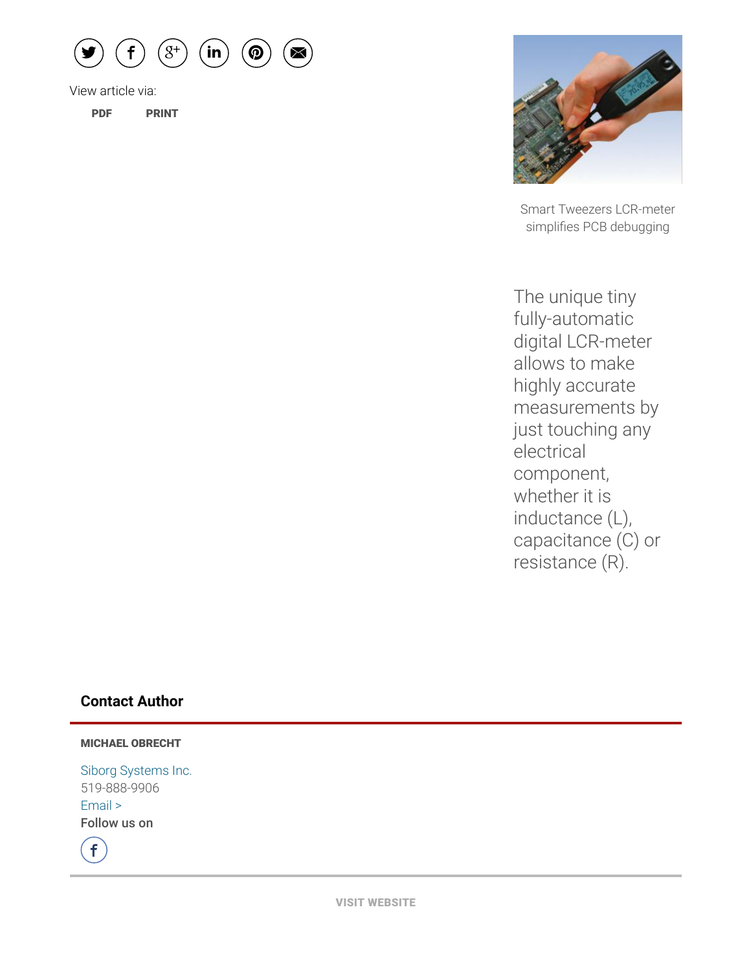

View article via:

[PDF](http://www.prweb.com/pdfdownload/9846297.pdf) [PRINT](http://www.prweb.com/printer/9846297.htm)



Smart Tweezers LCR-meter simplifies PCB debugging

The unique tiny fully-automatic digital LCR-meter allows to make highly accurate measurements by just touching any electrical component, whether it is inductance (L), capacitance (C) or resistance (R).

#### Contact Author

#### MICHAEL OBRECHT

Siborg [Systems](http://www.prweb.net/Redirect.aspx?id=aHR0cDovL3d3dy5zbWFydHR3ZWV6ZXJzLnVz) Inc. 519-888-9906 [Email](http://www.prweb.com/EmailContact.aspx?prid=9846297) > Follow us on